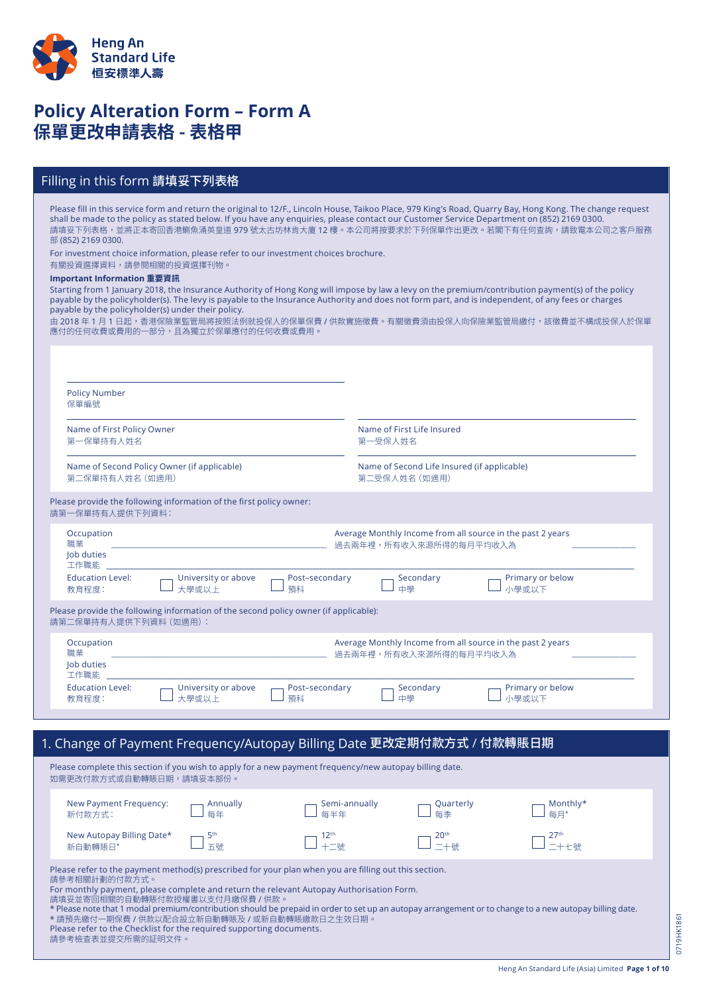

# **Policy Alteration Form – Form A 保單更改申請表格 - 表格甲**

### Filling in this form 請填妥下列表格

Please fill in this service form and return the original to 12/F., Lincoln House, Taikoo Place, 979 King's Road, Quarry Bay, Hong Kong. The change request shall be made to the policy as stated below. If you have any enquiries, please contact our Customer Service Department on (852) 2169 0300. 請填妥下列表格,並將正本寄回香港鰂魚涌英皇道 979 號太古坊林肯大廈 12 樓。本公司將按要求於下列保單作出更改。若閣下有任何查詢,請致電本公司之客戶服務 部 (852) 2169 0300.

For investment choice information, please refer to our investment choices brochure.

Please refer to the Checklist for the required supporting documents.

請參考檢查表並提交所需的証明文件。

#### 有關投資選擇資料,請參閱相關的投資選擇刊物。

#### **Important Information 重要資訊**

Starting from 1 January 2018, the Insurance Authority of Hong Kong will impose by law a levy on the premium/contribution payment(s) of the policy payable by the policyholder(s). The levy is payable to the Insurance Authority and does not form part, and is independent, of any fees or charges payable by the policyholder(s) under their policy.

由 2018 年 1 月 1 日起,香港保險業監管局將按照法例就投保人的保單保費 / 供款實施徵費。有關徵費須由投保人向保險業監管局繳付,該徵費並不構成投保人於保單 應付的任何收費或費用的一部分,且為獨立於保單應付的任何收費或費用。

| <b>Policy Number</b><br>保單編號            |                                                                                      |                      |                                                                                      |                           |
|-----------------------------------------|--------------------------------------------------------------------------------------|----------------------|--------------------------------------------------------------------------------------|---------------------------|
| Name of First Policy Owner<br>第一保單持有人姓名 |                                                                                      |                      | Name of First Life Insured<br>第一受保人姓名                                                |                           |
| 第二保單持有人姓名 (如適用)                         | Name of Second Policy Owner (if applicable)                                          |                      | Name of Second Life Insured (if applicable)<br>第二受保人姓名 (如適用)                         |                           |
| 請第一保單持有人提供下列資料:                         | Please provide the following information of the first policy owner:                  |                      |                                                                                      |                           |
| Occupation<br>職業<br>Job duties<br>工作職能  |                                                                                      |                      | Average Monthly Income from all source in the past 2 years<br>過去兩年裡,所有收入來源所得的每月平均收入為 |                           |
| <b>Education Level:</b><br>教育程度:        | University or above<br>大學或以上                                                         | Post-secondary<br>預科 | Secondary<br>中學                                                                      | Primary or below<br>小學或以下 |
| 請第二保單持有人提供下列資料 (如適用):                   | Please provide the following information of the second policy owner (if applicable): |                      |                                                                                      |                           |
| Occupation<br>職業<br>Job duties<br>工作職能  |                                                                                      |                      | Average Monthly Income from all source in the past 2 years<br>過去兩年裡,所有收入來源所得的每月平均收入為 |                           |
| <b>Education Level:</b>                 | University or above<br>大學或以上                                                         | Post-secondary<br>預科 | Secondary<br>中學                                                                      | Primary or below<br>小學或以下 |

 $p$ ply for a new payment frequency/new autopay billing date. 如需更改付款方式或自動轉賬日期,請填妥本部份。 Please refer to the payment method(s) prescribed for your plan when you are filling out this section. 請參考相關計劃的付款方式。 For monthly payment, please complete and return the relevant Autopay Authorisation Form. 請填妥並寄回相關的自動轉賬付款授權書以支付月繳保費 / 供款 \* Please note that 1 modal premium/contribution should be prepaid in order to set up an autopay arrangement or to change to a new autopay billing date. \* 請預先繳付一期保費 / 供款以配合設立新自動轉賬及 / 或新自動轉賬繳款日之生效日期。 New Payment Frequency: 新付款方式: Annually 每年 Semi-annually 每半年 Quarterly 每季 Monthly\* 每月\* New Autopay Billing Date\* 新自動轉賬日\* 5th 五號  $12<sup>th</sup>$ 」<br>十二號  $20<sup>th</sup>$ 二十號  $27<sup>th</sup>$ 二十七號

0719HK1861 0719HK1861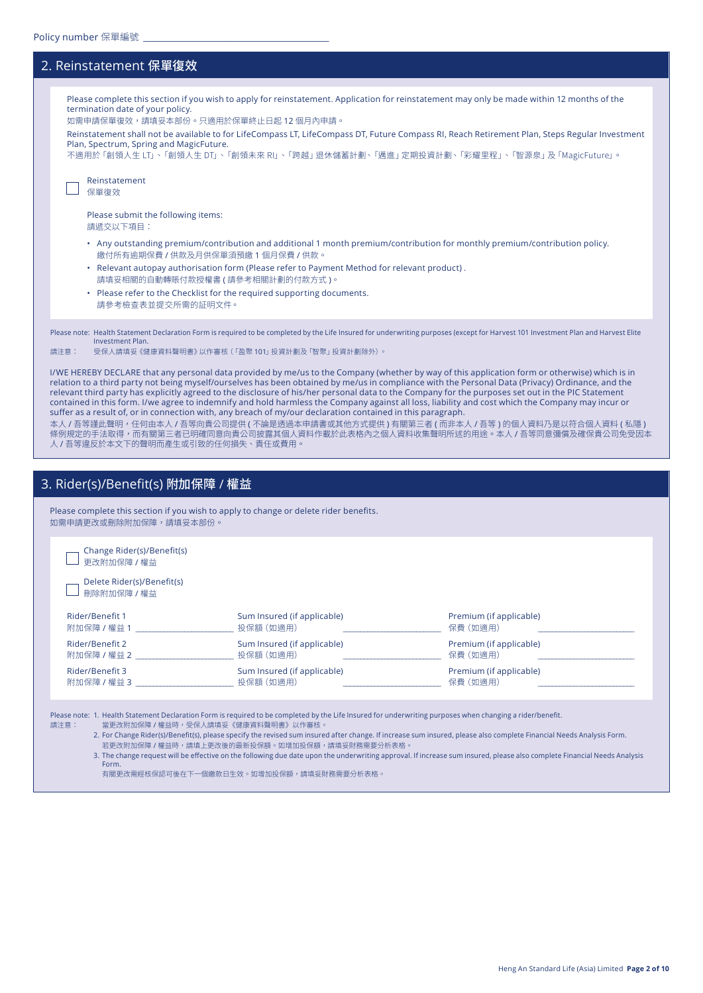| 2. Reinstatement 保單復效                                                                                                                                                                                                                                                                                                                                                                                                                                                                                                                                                                                                                                                                                                                                                                                                                                                                                                                                                                                                                                                                                                                                                                                                         |
|-------------------------------------------------------------------------------------------------------------------------------------------------------------------------------------------------------------------------------------------------------------------------------------------------------------------------------------------------------------------------------------------------------------------------------------------------------------------------------------------------------------------------------------------------------------------------------------------------------------------------------------------------------------------------------------------------------------------------------------------------------------------------------------------------------------------------------------------------------------------------------------------------------------------------------------------------------------------------------------------------------------------------------------------------------------------------------------------------------------------------------------------------------------------------------------------------------------------------------|
| Please complete this section if you wish to apply for reinstatement. Application for reinstatement may only be made within 12 months of the<br>termination date of your policy.<br>如需申請保單復效,請填妥本部份。只適用於保單終止日起 12個月內申請。<br>Reinstatement shall not be available to for LifeCompass LT, LifeCompass DT, Future Compass RI, Reach Retirement Plan, Steps Regular Investment<br>Plan, Spectrum, Spring and MagicFuture.<br>不適用於「創領人生 LT」、「創領人生 DT」、「創領未來 RI」、「跨越」退休儲蓄計劃、「邁進」定期投資計劃、「彩耀里程」、「智源泉」及「MagicFuture」。<br>Reinstatement<br>保單復效<br>Please submit the following items:                                                                                                                                                                                                                                                                                                                                                                                                                                                                                                                                                                                                                                                     |
| 請遞交以下項目:<br>• Any outstanding premium/contribution and additional 1 month premium/contribution for monthly premium/contribution policy.<br>繳付所有逾期保費 / 供款及月供保單須預繳 1 個月保費 / 供款。<br>. Relevant autopay authorisation form (Please refer to Payment Method for relevant product).<br>請填妥相關的自動轉賬付款授權書(請參考相關計劃的付款方式)。<br>• Please refer to the Checklist for the required supporting documents.<br>請參考檢查表並提交所需的証明文件。                                                                                                                                                                                                                                                                                                                                                                                                                                                                                                                                                                                                                                                                                                                                                                                                                |
| Please note: Health Statement Declaration Form is required to be completed by the Life Insured for underwriting purposes (except for Harvest 101 Investment Plan and Harvest Elite<br><b>Investment Plan.</b><br>受保人請填妥《健康資料聲明書》以作審核(「盈聚 101」 投資計劃及 「智聚」 投資計劃除外)。<br>請注意:<br>I/WE HEREBY DECLARE that any personal data provided by me/us to the Company (whether by way of this application form or otherwise) which is in<br>relation to a third party not being myself/ourselves has been obtained by me/us in compliance with the Personal Data (Privacy) Ordinance, and the<br>relevant third party has explicitly agreed to the disclosure of his/her personal data to the Company for the purposes set out in the PIC Statement<br>contained in this form. I/we agree to indemnify and hold harmless the Company against all loss, liability and cost which the Company may incur or<br>suffer as a result of, or in connection with, any breach of my/our declaration contained in this paragraph.<br>本人 / 吾等謹此聲明,任何由本人 / 吾等向貴公司提供 ( 不論是透過本申請書或其他方式提供 ) 有關第三者 ( 而非本人 / 吾等 ) 的個人資料乃是以符合個人資料 ( 私隱 )<br>條例規定的手法取得,而有關第三者已明確同意向貴公司披露其個人資料作載於此表格內之個人資料收集聲明所述的用途。本人 / 吾等同意彌償及確保貴公司免受因本<br>人 / 吾等違反於本文下的聲明而產生或引致的任何損失、責任或費用。 |
| 3. Rider(s)/Benefit(s) 附加保障 / 權益                                                                                                                                                                                                                                                                                                                                                                                                                                                                                                                                                                                                                                                                                                                                                                                                                                                                                                                                                                                                                                                                                                                                                                                              |
| Please complete this section if you wish to apply to change or delete rider benefits.<br>如需申請更改或刪除附加保障,請填妥本部份。                                                                                                                                                                                                                                                                                                                                                                                                                                                                                                                                                                                                                                                                                                                                                                                                                                                                                                                                                                                                                                                                                                                |

Change Rider(s)/Benefit(s) 四更改附加保障 / 權益

Delete Rider(s)/Benefit(s) □ 刪除附加保障 / 權益

| Rider/Benefit 1 | Sum Insured (if applicable) | Premium (if applicable) |
|-----------------|-----------------------------|-------------------------|
| 附加保障 / 權益 1     | 投保額 (如適用)                   | 保費 (如適用)                |
| Rider/Benefit 2 | Sum Insured (if applicable) | Premium (if applicable) |
| 附加保障 / 權益 2     | 投保額 (如滴用)                   | 保費 (如滴用)                |
| Rider/Benefit 3 | Sum Insured (if applicable) | Premium (if applicable) |
| 附加保障 / 權益 3     | 投保額 (如滴用)                   | 保費 (如滴用)                |

Please note: 1. Health Statement Declaration Form is required to be completed by the Life Insured for underwriting purposes when changing a rider/benefit. 請注意:

當更改附加保障 / 權益時,受保人請填妥《健康資料聲明書》以作審核。

2. For Change Rider(s)/Benefit(s), please specify the revised sum insured after change. If increase sum insured, please also complete Financial Needs Analysis Form. 若更改附加保障 / 權益時,請填上更改後的最新投保額。如增加投保額,請填妥財務需要分析表格。

3. The change request will be effective on the following due date upon the underwriting approval. If increase sum insured, please also complete Financial Needs Analysis Form.

有關更改需經核保認可後在下一個繳款日生效。如增加投保額,請填妥財務需要分析表格。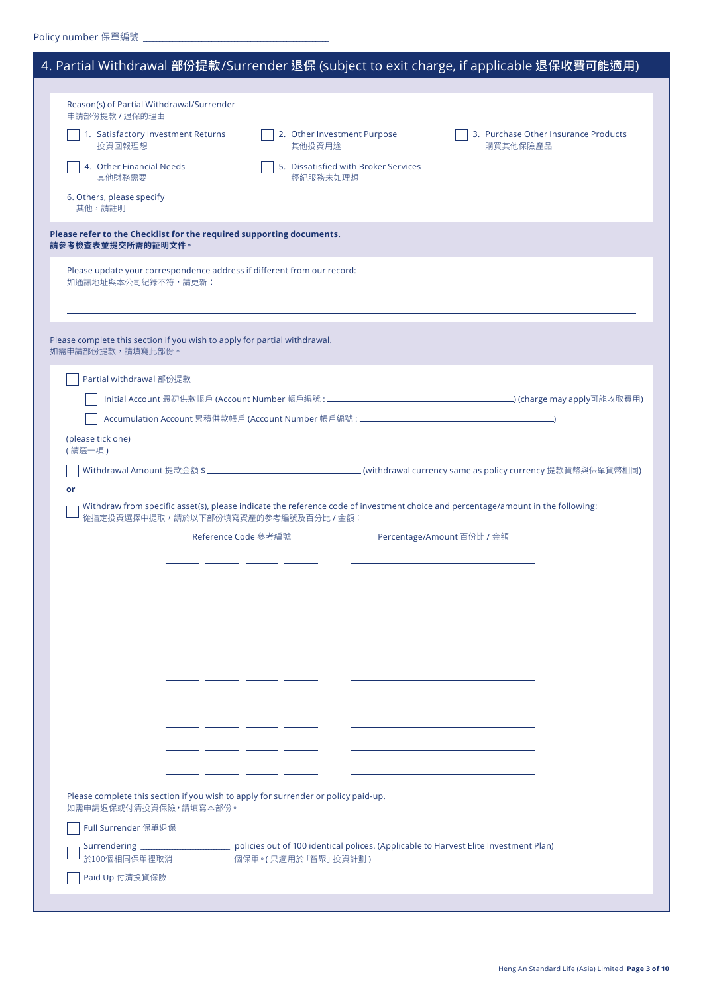|                                                                                                             | 4. Partial Withdrawal 部份提款/Surrender 退保 (subject to exit charge, if applicable 退保收費可能適用)                                         |
|-------------------------------------------------------------------------------------------------------------|----------------------------------------------------------------------------------------------------------------------------------|
|                                                                                                             |                                                                                                                                  |
| Reason(s) of Partial Withdrawal/Surrender<br>申請部份提款 / 退保的理由                                                 |                                                                                                                                  |
| 1. Satisfactory Investment Returns<br>投資回報理想                                                                | 2. Other Investment Purpose<br>3. Purchase Other Insurance Products<br>其他投資用途<br>購買其他保險產品                                        |
| 4. Other Financial Needs<br>其他財務需要                                                                          | 5. Dissatisfied with Broker Services<br>經紀服務未如理想                                                                                 |
| 6. Others, please specify<br>其他,請註明                                                                         |                                                                                                                                  |
| Please refer to the Checklist for the required supporting documents.<br>請參考檢查表並提交所需的証明文件。                   |                                                                                                                                  |
| Please update your correspondence address if different from our record:<br>如通訊地址與本公司紀錄不符,請更新:               |                                                                                                                                  |
| Please complete this section if you wish to apply for partial withdrawal.<br>如需申請部份提款,請填寫此部份。               |                                                                                                                                  |
| Partial withdrawal 部份提款                                                                                     |                                                                                                                                  |
|                                                                                                             |                                                                                                                                  |
|                                                                                                             | Accumulation Account 累積供款帳戶 (Account Number 帳戶編號 : ______________________________                                                |
| (please tick one)<br>(請選一項)                                                                                 |                                                                                                                                  |
|                                                                                                             |                                                                                                                                  |
| or                                                                                                          |                                                                                                                                  |
| 從指定投資選擇中提取,請於以下部份填寫資產的參考編號及百分比 / 金額:                                                                        | Withdraw from specific asset(s), please indicate the reference code of investment choice and percentage/amount in the following: |
|                                                                                                             | Reference Code 參考編號<br>Percentage/Amount 百份比 / 金額                                                                                |
|                                                                                                             |                                                                                                                                  |
|                                                                                                             |                                                                                                                                  |
|                                                                                                             |                                                                                                                                  |
|                                                                                                             |                                                                                                                                  |
|                                                                                                             |                                                                                                                                  |
|                                                                                                             | ___<br>___                                                                                                                       |
|                                                                                                             |                                                                                                                                  |
|                                                                                                             |                                                                                                                                  |
|                                                                                                             |                                                                                                                                  |
|                                                                                                             |                                                                                                                                  |
|                                                                                                             | ____                                                                                                                             |
|                                                                                                             |                                                                                                                                  |
| Please complete this section if you wish to apply for surrender or policy paid-up.<br>如需申請退保或付清投資保險,請填寫本部份。 |                                                                                                                                  |
|                                                                                                             |                                                                                                                                  |
| Full Surrender 保單退保                                                                                         |                                                                                                                                  |
|                                                                                                             | Surrendering _____________________________ policies out of 100 identical polices. (Applicable to Harvest Elite Investment Plan)  |
| 於100個相同保單裡取消 ______________ 個保單。(只適用於「智聚」投資計劃)<br>Paid Up 付清投資保險                                            |                                                                                                                                  |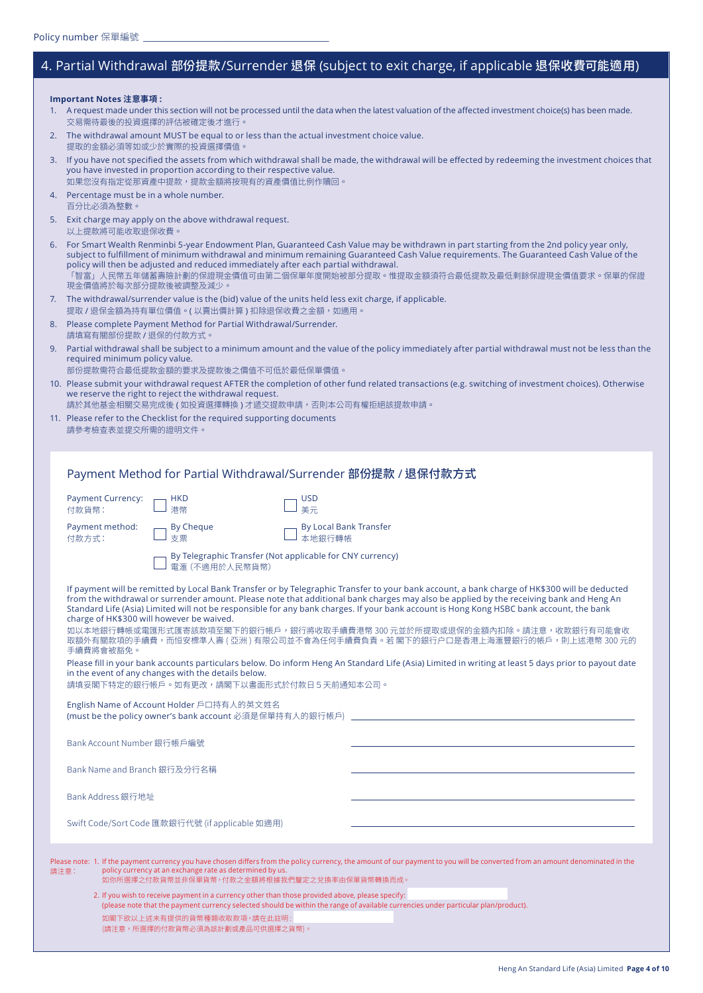Please note:

# 4. Partial Withdrawal 部份提款/Surrender 退保 (subject to exit charge, if applicable 退保收費可能適用)

**Important Notes 注意事項 :**

| 1. A request made under this section will not be processed until the data when the latest valuation of the affected investment choice(s) has been made. |
|---------------------------------------------------------------------------------------------------------------------------------------------------------|
| 交易需待最後的投資選擇的評估被確定後才進行。                                                                                                                                  |

| 2. The withdrawal amount MUST be equal to or less than the actual investment choice value. |
|--------------------------------------------------------------------------------------------|
| 提取的金額必須等如或少於實際的投資選擇價值。                                                                     |

3. If you have not specified the assets from which withdrawal shall be made, the withdrawal will be effected by redeeming the investment choices that you have invested in proportion according to their respective value. 如果您沒有指定從那資產中提款,提款金額將按現有的資產價值比例作贖回。

- 4. Percentage must be in a whole number. 百分比必須為整數。
- 5. Exit charge may apply on the above withdrawal request. 以上提款將可能收取退保收費

6. For Smart Wealth Renminbi 5-year Endowment Plan, Guaranteed Cash Value may be withdrawn in part starting from the 2nd policy year only, subject to fulfillment of minimum withdrawal and minimum remaining Guaranteed Cash Value requirements. The Guaranteed Cash Value of the policy will then be adjusted and reduced immediately after each partial withdrawal. 「智富」人民幣五年儲蓄壽險計劃的保證現金價值可由第二個保單年度開始被部分提取。惟提取金額須符合最低提款及最低剩餘保證現金價值要求。保單的保證 現金價值將於每次部分提款後被調整及減少。

- 7. The withdrawal/surrender value is the (bid) value of the units held less exit charge, if applicable. 提取 / 退保金額為持有單位價值。(以賣出價計算) 扣除退保收費之金額,如適用。
- 8. Please complete Payment Method for Partial Withdrawal/Surrender. 請填寫有關部份提款 / 退保的付款方式。
- 9. Partial withdrawal shall be subject to a minimum amount and the value of the policy immediately after partial withdrawal must not be less than the required minimum policy value. 部份提款需符合最低提款金額的要求及提款後之價值不可低於最低保單價值。
- 10. Please submit your withdrawal request AFTER the completion of other fund related transactions (e.g. switching of investment choices). Otherwise we reserve the right to reject the withdrawal request.
	- 請於其他基金相關交易完成後 ( 如投資選擇轉換 ) 才遞交提款申請,否則本公司有權拒絕該提款申請。
- 11. Please refer to the Checklist for the required supporting documents 請參考檢查表並提交所需的證明文件。

## Payment Method for Partial Withdrawal/Surrender 部份提款 / 退保付款方式

| <b>Payment Currency:</b><br>付款貨幣: |                            | <b>HKD</b><br>港幣                                                                                                                                                                                                                                                                                                                                                                                                                                                                                                                                                                                                                              | <b>USD</b><br>美元                        |  |  |
|-----------------------------------|----------------------------|-----------------------------------------------------------------------------------------------------------------------------------------------------------------------------------------------------------------------------------------------------------------------------------------------------------------------------------------------------------------------------------------------------------------------------------------------------------------------------------------------------------------------------------------------------------------------------------------------------------------------------------------------|-----------------------------------------|--|--|
| Payment method:<br>付款方式:          |                            | <b>By Cheque</b><br>支票                                                                                                                                                                                                                                                                                                                                                                                                                                                                                                                                                                                                                        | <b>By Local Bank Transfer</b><br>本地銀行轉帳 |  |  |
|                                   |                            | By Telegraphic Transfer (Not applicable for CNY currency)<br>雷滙 (不滴用於人民幣貨幣)                                                                                                                                                                                                                                                                                                                                                                                                                                                                                                                                                                   |                                         |  |  |
| 手續費將會被豁免。                         |                            | If payment will be remitted by Local Bank Transfer or by Telegraphic Transfer to your bank account, a bank charge of HK\$300 will be deducted<br>from the withdrawal or surrender amount. Please note that additional bank charges may also be applied by the receiving bank and Heng An<br>Standard Life (Asia) Limited will not be responsible for any bank charges. If your bank account is Hong Kong HSBC bank account, the bank<br>charge of HK\$300 will however be waived.<br>如以本地銀行轉帳或電匯形式匯寄該款項至閣下的銀行帳戶,銀行將收取手續費港幣 300 元並於所提取或退保的金額內扣除。請注意,收款銀行有可能會收<br>取額外有關款項的手續費,而恒安標準人壽 ( 亞洲 ) 有限公司並不會為任何手續費負責。若 閣下的銀行户口是香港上海滙豐銀行的帳戶,則上述港幣 300 元的 |                                         |  |  |
|                                   |                            | Please fill in your bank accounts particulars below. Do inform Heng An Standard Life (Asia) Limited in writing at least 5 days prior to payout date<br>in the event of any changes with the details below.<br>請填妥閣下特定的銀行帳戶。如有更改,請閣下以書面形式於付款日5天前通知本公司。                                                                                                                                                                                                                                                                                                                                                                                         |                                         |  |  |
|                                   |                            | English Name of Account Holder 戶口持有人的英文姓名<br>(must be the policy owner's bank account 必須是保單持有人的銀行帳戶) ________________________                                                                                                                                                                                                                                                                                                                                                                                                                                                                                                                 |                                         |  |  |
|                                   | Bank Account Number 銀行帳戶編號 |                                                                                                                                                                                                                                                                                                                                                                                                                                                                                                                                                                                                                                               |                                         |  |  |
|                                   |                            | Bank Name and Branch 銀行及分行名稱                                                                                                                                                                                                                                                                                                                                                                                                                                                                                                                                                                                                                  |                                         |  |  |
| Bank Address 銀行地址                 |                            |                                                                                                                                                                                                                                                                                                                                                                                                                                                                                                                                                                                                                                               |                                         |  |  |
|                                   |                            | Swift Code/Sort Code 匯款銀行代號 (if applicable 如適用)                                                                                                                                                                                                                                                                                                                                                                                                                                                                                                                                                                                               |                                         |  |  |
| 請注意:                              |                            | Please note: 1. If the payment currency you have chosen differs from the policy currency, the amount of our payment to you will be converted from an amount denominated in the<br>policy currency at an exchange rate as determined by us.<br>如你所選擇之付款貨幣並非保單貨幣,付款之金額將根據我們釐定之兌換率由保單貨幣轉換而成。<br>2. If you wish to receive payment in a currency other than those provided above, please specify:<br>(please note that the payment currency selected should be within the range of available currencies under particular plan/product).<br>如閣下欲以上述未有提供的貨幣種類收取款項,請在此註明:<br>(請注意,所選擇的付款貨幣必須為該計劃或產品可供選擇之貨幣)。                                         |                                         |  |  |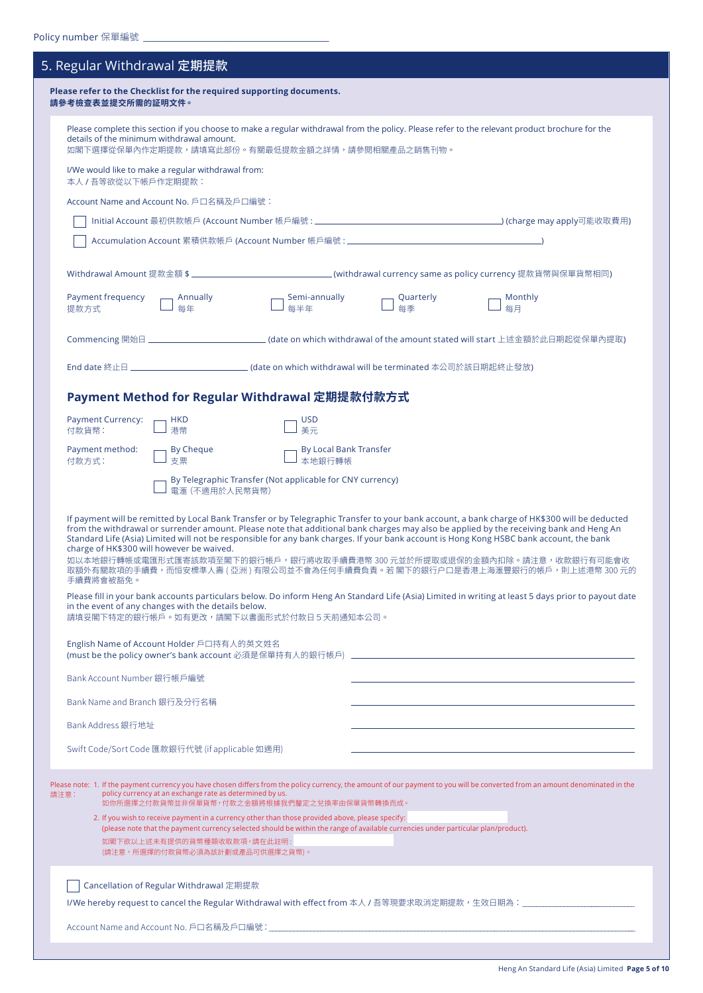| 5. Regular Withdrawal 定期提款                                                                                                                                                                                                                     |                                                                           |                                                                                                                                                 |                 |                                                                                                                                                                                                                                                                                                                                                                                                                                                                                                                                                                                                                                                                                                                                                         |  |  |  |  |  |
|------------------------------------------------------------------------------------------------------------------------------------------------------------------------------------------------------------------------------------------------|---------------------------------------------------------------------------|-------------------------------------------------------------------------------------------------------------------------------------------------|-----------------|---------------------------------------------------------------------------------------------------------------------------------------------------------------------------------------------------------------------------------------------------------------------------------------------------------------------------------------------------------------------------------------------------------------------------------------------------------------------------------------------------------------------------------------------------------------------------------------------------------------------------------------------------------------------------------------------------------------------------------------------------------|--|--|--|--|--|
| Please refer to the Checklist for the required supporting documents.<br>請參考檢查表並提交所需的証明文件。                                                                                                                                                      |                                                                           |                                                                                                                                                 |                 |                                                                                                                                                                                                                                                                                                                                                                                                                                                                                                                                                                                                                                                                                                                                                         |  |  |  |  |  |
| Please complete this section if you choose to make a regular withdrawal from the policy. Please refer to the relevant product brochure for the<br>details of the minimum withdrawal amount.<br>如閣下選擇從保單內作定期提款,請填寫此部份。有關最低提款金額之詳情,請參閱相關產品之銷售刊物。 |                                                                           |                                                                                                                                                 |                 |                                                                                                                                                                                                                                                                                                                                                                                                                                                                                                                                                                                                                                                                                                                                                         |  |  |  |  |  |
|                                                                                                                                                                                                                                                | I/We would like to make a regular withdrawal from:<br>本人 / 吾等欲從以下帳戶作定期提款: |                                                                                                                                                 |                 |                                                                                                                                                                                                                                                                                                                                                                                                                                                                                                                                                                                                                                                                                                                                                         |  |  |  |  |  |
|                                                                                                                                                                                                                                                | Account Name and Account No. 戶口名稱及戶口編號:                                   |                                                                                                                                                 |                 |                                                                                                                                                                                                                                                                                                                                                                                                                                                                                                                                                                                                                                                                                                                                                         |  |  |  |  |  |
|                                                                                                                                                                                                                                                |                                                                           |                                                                                                                                                 |                 |                                                                                                                                                                                                                                                                                                                                                                                                                                                                                                                                                                                                                                                                                                                                                         |  |  |  |  |  |
|                                                                                                                                                                                                                                                |                                                                           |                                                                                                                                                 |                 |                                                                                                                                                                                                                                                                                                                                                                                                                                                                                                                                                                                                                                                                                                                                                         |  |  |  |  |  |
|                                                                                                                                                                                                                                                |                                                                           |                                                                                                                                                 |                 |                                                                                                                                                                                                                                                                                                                                                                                                                                                                                                                                                                                                                                                                                                                                                         |  |  |  |  |  |
| Payment frequency<br>提款方式                                                                                                                                                                                                                      | <b>Annually</b><br>每年                                                     | Semi-annually<br>每半年                                                                                                                            | Quarterly<br>每季 | Monthly<br>每月                                                                                                                                                                                                                                                                                                                                                                                                                                                                                                                                                                                                                                                                                                                                           |  |  |  |  |  |
|                                                                                                                                                                                                                                                |                                                                           |                                                                                                                                                 |                 | Commencing 開始日 ________________________________(date on which withdrawal of the amount stated will start 上述金額於此日期起從保單內提取)                                                                                                                                                                                                                                                                                                                                                                                                                                                                                                                                                                                                                               |  |  |  |  |  |
|                                                                                                                                                                                                                                                |                                                                           | End date 終止日 _________________________________(date on which withdrawal will be terminated 本公司於該日期起終止發放)                                        |                 |                                                                                                                                                                                                                                                                                                                                                                                                                                                                                                                                                                                                                                                                                                                                                         |  |  |  |  |  |
|                                                                                                                                                                                                                                                |                                                                           | Payment Method for Regular Withdrawal 定期提款付款方式                                                                                                  |                 |                                                                                                                                                                                                                                                                                                                                                                                                                                                                                                                                                                                                                                                                                                                                                         |  |  |  |  |  |
| <b>Payment Currency:</b><br>付款貨幣:                                                                                                                                                                                                              | <b>HKD</b><br>港幣                                                          | <b>USD</b><br>美元                                                                                                                                |                 |                                                                                                                                                                                                                                                                                                                                                                                                                                                                                                                                                                                                                                                                                                                                                         |  |  |  |  |  |
| Payment method:<br>付款方式:                                                                                                                                                                                                                       | $\neg$ By Cheque<br>支票                                                    | -By Local Bank Transfer<br>本地銀行轉帳                                                                                                               |                 |                                                                                                                                                                                                                                                                                                                                                                                                                                                                                                                                                                                                                                                                                                                                                         |  |  |  |  |  |
|                                                                                                                                                                                                                                                | 電滙 (不適用於人民幣貨幣)                                                            | By Telegraphic Transfer (Not applicable for CNY currency)                                                                                       |                 |                                                                                                                                                                                                                                                                                                                                                                                                                                                                                                                                                                                                                                                                                                                                                         |  |  |  |  |  |
| charge of HK\$300 will however be waived.<br>手續費將會被豁免。                                                                                                                                                                                         | in the event of any changes with the details below.                       |                                                                                                                                                 |                 | If payment will be remitted by Local Bank Transfer or by Telegraphic Transfer to your bank account, a bank charge of HK\$300 will be deducted<br>from the withdrawal or surrender amount. Please note that additional bank charges may also be applied by the receiving bank and Heng An<br>Standard Life (Asia) Limited will not be responsible for any bank charges. If your bank account is Hong Kong HSBC bank account, the bank<br>如以本地銀行轉帳或電匯形式匯寄該款項至閣下的銀行帳戶,銀行將收取手續費港幣 300 元並於所提取或退保的金額內扣除。請注意,收款銀行有可能會收<br>取額外有關款項的手續費,而恒安標準人壽 ( 亞洲 ) 有限公司並不會為任何手續費負責。若 閣下的銀行户口是香港上海滙豐銀行的帳戶,則上述港幣 300 元的<br>Please fill in your bank accounts particulars below. Do inform Heng An Standard Life (Asia) Limited in writing at least 5 days prior to payout date |  |  |  |  |  |
| 請填妥閣下特定的銀行帳戶。如有更改,請閣下以書面形式於付款日5天前通知本公司。<br>English Name of Account Holder 戶口持有人的英文姓名                                                                                                                                                           |                                                                           |                                                                                                                                                 |                 |                                                                                                                                                                                                                                                                                                                                                                                                                                                                                                                                                                                                                                                                                                                                                         |  |  |  |  |  |
| Bank Account Number 銀行帳戶編號                                                                                                                                                                                                                     |                                                                           |                                                                                                                                                 |                 |                                                                                                                                                                                                                                                                                                                                                                                                                                                                                                                                                                                                                                                                                                                                                         |  |  |  |  |  |
| Bank Name and Branch 銀行及分行名稱                                                                                                                                                                                                                   |                                                                           |                                                                                                                                                 |                 |                                                                                                                                                                                                                                                                                                                                                                                                                                                                                                                                                                                                                                                                                                                                                         |  |  |  |  |  |
| Bank Address 銀行地址                                                                                                                                                                                                                              |                                                                           |                                                                                                                                                 |                 |                                                                                                                                                                                                                                                                                                                                                                                                                                                                                                                                                                                                                                                                                                                                                         |  |  |  |  |  |
|                                                                                                                                                                                                                                                | Swift Code/Sort Code 匯款銀行代號 (if applicable 如適用)                           |                                                                                                                                                 |                 | the control of the control of the control of the control of the control of the control of                                                                                                                                                                                                                                                                                                                                                                                                                                                                                                                                                                                                                                                               |  |  |  |  |  |
| 請注意:                                                                                                                                                                                                                                           | policy currency at an exchange rate as determined by us.                  | 如你所選擇之付款貨幣並非保單貨幣,付款之金額將根據我們釐定之兌換率由保單貨幣轉換而成。<br>2. If you wish to receive payment in a currency other than those provided above, please specify: |                 | Please note: 1. If the payment currency you have chosen differs from the policy currency, the amount of our payment to you will be converted from an amount denominated in the                                                                                                                                                                                                                                                                                                                                                                                                                                                                                                                                                                          |  |  |  |  |  |
|                                                                                                                                                                                                                                                | 如閣下欲以上述未有提供的貨幣種類收取款項,請在此註明:<br>(請注意,所選擇的付款貨幣必須為該計劃或產品可供選擇之貨幣)。            | (please note that the payment currency selected should be within the range of available currencies under particular plan/product).              |                 |                                                                                                                                                                                                                                                                                                                                                                                                                                                                                                                                                                                                                                                                                                                                                         |  |  |  |  |  |
|                                                                                                                                                                                                                                                | Cancellation of Regular Withdrawal 定期提款                                   |                                                                                                                                                 |                 |                                                                                                                                                                                                                                                                                                                                                                                                                                                                                                                                                                                                                                                                                                                                                         |  |  |  |  |  |
|                                                                                                                                                                                                                                                |                                                                           |                                                                                                                                                 |                 |                                                                                                                                                                                                                                                                                                                                                                                                                                                                                                                                                                                                                                                                                                                                                         |  |  |  |  |  |
|                                                                                                                                                                                                                                                |                                                                           |                                                                                                                                                 |                 |                                                                                                                                                                                                                                                                                                                                                                                                                                                                                                                                                                                                                                                                                                                                                         |  |  |  |  |  |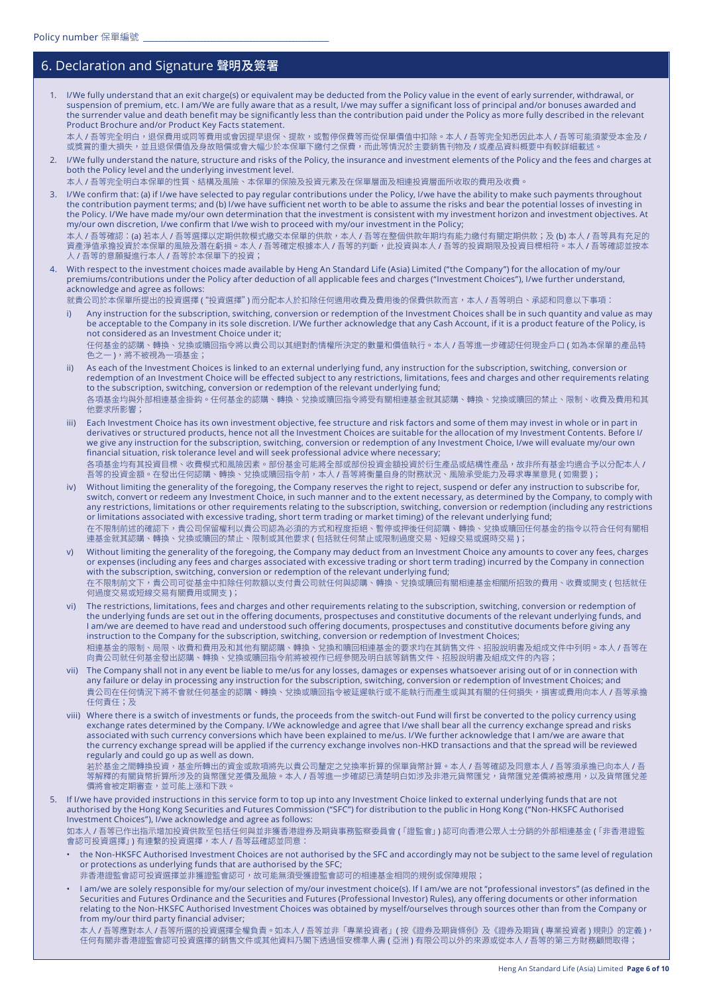## 6. Declaration and Signature 聲明及簽署

1. I/We fully understand that an exit charge(s) or equivalent may be deducted from the Policy value in the event of early surrender, withdrawal, or suspension of premium, etc. I am/We are fully aware that as a result, I/we may suffer a significant loss of principal and/or bonuses awarded and the surrender value and death benefit may be significantly less than the contribution paid under the Policy as more fully described in the relevant Product Brochure and/or Product Key Facts statement. 本人 / 吾等完全明白,退保費用或同等費用或會因提早退保、提款,或暫停保費等而從保單價值中扣除。本人 / 吾等完全知悉因此本人 / 吾等可能須蒙受本金及 /

或獎賞的重大損失,並且退保價值及身故賠償或會大幅少於本保單下繳付之保費,而此等情況於主要銷售刊物及 / 或產品資料概要中有較詳細載述。

2. I/We fully understand the nature, structure and risks of the Policy, the insurance and investment elements of the Policy and the fees and charges at both the Policy level and the underlying investment level. 本人 / 吾等完全明白本保單的性質、結構及風險、本保單的保險及投資元素及在保單層面及相連投資層面所收取的費用及收費。

I/We confirm that: (a) if I/we have selected to pay regular contributions under the Policy, I/we have the ability to make such payments throughout the contribution payment terms; and (b) I/we have sufficient net worth to be able to assume the risks and bear the potential losses of investing in the Policy. I/We have made my/our own determination that the investment is consistent with my investment horizon and investment objectives. At my/our own discretion, I/we confirm that I/we wish to proceed with my/our investment in the Policy;

本人 / 吾等確認:(a) 若本人 / 吾等選擇以定期供款模式繳交本保單的供款,本人 / 吾等在整個供款年期均有能力繳付有關定期供款;及 (b) 本人 / 吾等具有充足的 資產淨值承擔投資於本保單的風險及潛在虧損。本人 / 吾等確定根據本人 / 吾等的判斷,此投資與本人 / 吾等的投資期限及投資目標相符。本人 / 吾等確認並按本 人 / 吾等的意願擬進行本人 / 吾等於本保單下的投資;

4. With respect to the investment choices made available by Heng An Standard Life (Asia) Limited ("the Company") for the allocation of my/our premiums/contributions under the Policy after deduction of all applicable fees and charges ("Investment Choices"), I/we further understand, acknowledge and agree as follows:

就貴公司於本保單所提出的投資選擇 ("投資選擇") 而分配本人於扣除任何適用收費及費用後的保費供款而言,本人 / 吾等明白、承認和同意以下事項:

i) Any instruction for the subscription, switching, conversion or redemption of the Investment Choices shall be in such quantity and value as may be acceptable to the Company in its sole discretion. I/We further acknowledge that any Cash Account, if it is a product feature of the Policy, is not considered as an Investment Choice under it;

任何基金的認購、轉換、兌換或贖回指令將以貴公司以其絕對酌情權所決定的數量和價值執行。本人 / 吾等進一步確認任何現金戶口 ( 如為本保單的產品特 色之一 ),將不被視為一項基金;

- ii) As each of the Investment Choices is linked to an external underlying fund, any instruction for the subscription, switching, conversion or redemption of an Investment Choice will be effected subject to any restrictions, limitations, fees and charges and other requirements relating to the subscription, switching, conversion or redemption of the relevant underlying fund; 各項基金均與外部相連基金掛鈎。任何基金的認購、轉換、兌換或贖回指令將受有關相連基金就其認購、轉換、兌換或贖回的禁止、限制、收費及費用和其 他要求所影響;
- iii) Each Investment Choice has its own investment objective, fee structure and risk factors and some of them may invest in whole or in part in derivatives or structured products, hence not all the Investment Choices are suitable for the allocation of my Investment Contents. Before I/ we give any instruction for the subscription, switching, conversion or redemption of any Investment Choice, I/we will evaluate my/our own financial situation, risk tolerance level and will seek professional advice where necessary; 各項基金均有其投資目標、收費模式和風險因素。部份基金可能將全部或部份投資金額投資於衍生產品或結構性產品,故非所有基金均適合予以分配本人 <mark>/</mark> 吾等的投資金額。在發出任何認購、轉換、兌換或贖回指令前,本人 / 吾等將衡量自身的財務狀況、風險承受能力及尋求專業意見 ( 如需要 );
- iv) Without limiting the generality of the foregoing, the Company reserves the right to reject, suspend or defer any instruction to subscribe for, switch, convert or redeem any Investment Choice, in such manner and to the extent necessary, as determined by the Company, to comply with any restrictions, limitations or other requirements relating to the subscription, switching, conversion or redemption (including any restrictions or limitations associated with excessive trading, short term trading or market timing) of the relevant underlying fund; 在不限制前述的確認下,貴公司保留權利以貴公司認為必須的方式和程度拒絕、暫停或押後任何認購、轉換、兌換或贖回任何基金的指令以符合任何有關相 連基金就其認購、轉換、兌換或贖回的禁止、限制或其他要求 ( 包括就任何禁止或限制過度交易、短線交易或選時交易 );
- v) Without limiting the generality of the foregoing, the Company may deduct from an Investment Choice any amounts to cover any fees, charges or expenses (including any fees and charges associated with excessive trading or short term trading) incurred by the Company in connection with the subscription, switching, conversion or redemption of the relevant underlying fund; 在不限制前文下,貴公司可從基金中扣除任何款額以支付貴公司就任何與認購、轉換、兌換或贖回有關相連基金相關所招致的費用、收費或開支 ( 包括就任 何過度交易或短線交易有關費用或開支 );
- vi) The restrictions, limitations, fees and charges and other requirements relating to the subscription, switching, conversion or redemption of the underlying funds are set out in the offering documents, prospectuses and constitutive documents of the relevant underlying funds, and I am/we are deemed to have read and understood such offering documents, prospectuses and constitutive documents before giving any instruction to the Company for the subscription, switching, conversion or redemption of Investment Choices; 相連基金的限制、局限、收費和費用及和其他有關認購、轉換、兌換和贖回相連基金的要求均在其銷售文件、招股說明書及組成文件中列明。本人 / 吾等在 中四生亚的低的生物,如果用的《内容的理解》,并以它们的不同為可以在全世的经验中的正式,而且以下,在国家的方向,<br>- 向貴公司就任何基金發出認購、轉換、兌換或贖回指令前將被視作已經參閱及明白該等銷售文件、招股說明書及組成文件的內容;
- vii) The Company shall not in any event be liable to me/us for any losses, damages or expenses whatsoever arising out of or in connection with any failure or delay in processing any instruction for the subscription, switching, conversion or redemption of Investment Choices; and 貴公司在任何情況下將不會就任何基金的認購、轉換、兌換或贖回指令被延遲執行或不能執行而產生或與其有關的任何損失,損害或費用向本人 / 吾等承擔 任何責任;及
- viii) Where there is a switch of investments or funds, the proceeds from the switch-out Fund will first be converted to the policy currency using exchange rates determined by the Company. I/We acknowledge and agree that I/we shall bear all the currency exchange spread and risks associated with such currency conversions which have been explained to me/us. I/We further acknowledge that I am/we are aware that the currency exchange spread will be applied if the currency exchange involves non-HKD transactions and that the spread will be reviewed regularly and could go up as well as down.

若於基金之間轉換投資,基金所轉出的資金或款項將先以貴公司釐定之兌換率折算的保單貨幣計算。本人 / 吾等確認及同意本人 / 吾等須承擔已向本人 / 吾 等解釋的有關貨幣折算所涉及的貨幣匯兌差價及風險。本人 / 吾等進一步確認已清楚明白如涉及非港元貨幣匯兌,貨幣匯兌差價將被應用,以及貨幣匯兌差 價將會被定期審查,並可能上漲和下跌。

5. If I/we have provided instructions in this service form to top up into any Investment Choice linked to external underlying funds that are not authorised by the Hong Kong Securities and Futures Commission ("SFC") for distribution to the public in Hong Kong ("Non-HKSFC Authorised Investment Choices"), I/we acknowledge and agree as follows:

如本人 / 吾等已作出指示增加投資供款至包括任何與並非獲香港證券及期貨事務監察委員會 (「證監會」) 認可向香港公眾人士分銷的外部相連基金 (「非香港證監 會認可投資選擇」) 有連繫的投資選擇,本人 / 吾等茲確認並同意:

- the Non-HKSFC Authorised Investment Choices are not authorised by the SFC and accordingly may not be subject to the same level of regulation or protections as underlying funds that are authorised by the SFC;
- 非香港證監會認可投資選擇並非獲證監會認可,故可能無須受獲證監會認可的相連基金相同的規例或保障規限;
- I am/we are solely responsible for my/our selection of my/our investment choice(s). If I am/we are not "professional investors" (as defined in the Securities and Futures Ordinance and the Securities and Futures (Professional Investor) Rules), any offering documents or other information relating to the Non-HKSFC Authorised Investment Choices was obtained by myself/ourselves through sources other than from the Company or from my/our third party financial adviser;

本人 / 吾等應對本人 / 吾等所選的投資選擇全權負責。如本人 / 吾等並非「專業投資者」( 按《證券及期貨條例》及《證券及期貨 ( 專業投資者 ) 規則》的定義 ), 任何有關非香港證監會認可投資選擇的銷售文件或其他資料乃閣下透過恒安標準人壽 ( 亞洲 ) 有限公司以外的來源或從本人 / 吾等的第三方財務顧問取得;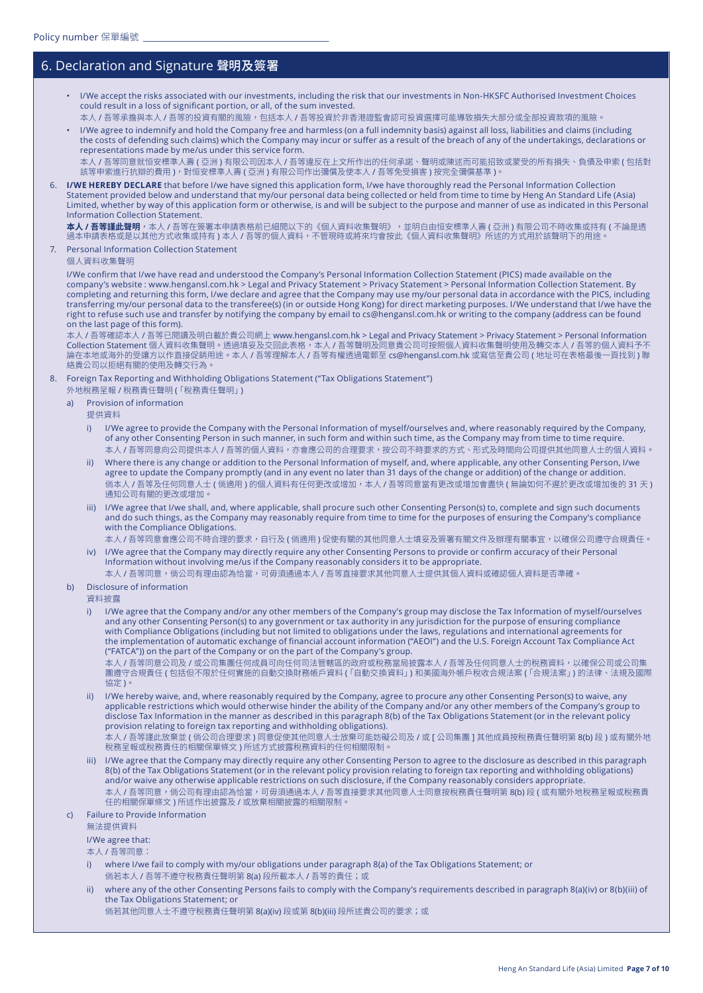### 6. Declaration and Signature 聲明及簽署

- I/We accept the risks associated with our investments, including the risk that our investments in Non-HKSFC Authorised Investment Choices could result in a loss of significant portion, or all, of the sum invested.
- 本人 / 吾等承擔與本人 / 吾等的投資有關的風險,包括本人 / 吾等投資於非香港證監會認可投資選擇可能導致損失大部分或全部投資款項的風險。
- I/We agree to indemnify and hold the Company free and harmless (on a full indemnity basis) against all loss, liabilities and claims (including the costs of defending such claims) which the Company may incur or suffer as a result of the breach of any of the undertakings, declarations or representations made by me/us under this service form.

本人 / 吾等同意就恒安標準人壽 ( 亞洲 ) 有限公司因本人 / 吾等違反在上文所作出的任何承諾、聲明或陳述而可能招致或蒙受的所有損失、負債及申索 ( 包括對 該等申索進行抗辯的費用 ),對恒安標準人壽 ( 亞洲 ) 有限公司作出彌償及使本人 / 吾等免受損害 ) 按完全彌償基準 )。

6. **I/WE HEREBY DECLARE** that before I/we have signed this application form, I/we have thoroughly read the Personal Information Collection Statement provided below and understand that my/our personal data being collected or held from time to time by Heng An Standard Life (Asia) Limited, whether by way of this application form or otherwise, is and will be subject to the purpose and manner of use as indicated in this Personal Information Collection Statement.

**本人 / 吾等謹此聲明**,本人 / 吾等在簽署本申請表格前已細閱以下的《個人資料收集聲明》,並明白由恒安標準人壽 ( 亞洲 ) 有限公司不時收集或持有 ( 不論是透 過本申請表格或是以其他方式收集或持有 ) 本人 / 吾等的個人資料,不管現時或將來均會按此《個人資料收集聲明》所述的方式用於該聲明下的用途。

7. Personal Information Collection Statement

個人資料收集聲明

I/We confirm that I/we have read and understood the Company's Personal Information Collection Statement (PICS) made available on the company's website : www.hengansl.com.hk > Legal and Privacy Statement > Privacy Statement > Personal Information Collection Statement. By completing and returning this form, I/we declare and agree that the Company may use my/our personal data in accordance with the PICS, including transferring my/our personal data to the transferee(s) (in or outside Hong Kong) for direct marketing purposes. I/We understand that I/we have the right to refuse such use and transfer by notifying the company by email to cs@hengansl.com.hk or writing to the company (address can be found on the last page of this form).

本人 / 吾等確認本人 / 吾等已閱讀及明白載於貴公司網上 www.hengansl.com.hk > Legal and Privacy Statement > Privacy Statement > Personal Information Collection Statement 個人資料收集聲明。透過填妥及交回此表格,本人 / 吾等聲明及同意貴公司可按照個人資料收集聲明使用及轉交本人 / 吾等的個人資料予不 論在本地或海外的受讓方以作直接促銷用途。本人 / 吾等理解本人 / 吾等有權透過電郵至 cs@hengansl.com.hk 或寫信至貴公司 ( 地址可在表格最後一頁找到 ) 聯 絡貴公司以拒絕有關的使用及轉交行為。

- 8. Foreign Tax Reporting and Withholding Obligations Statement ("Tax Obligations Statement")
	- 外地稅務呈報 / 稅務責任聲明 (「稅務責任聲明」)
	- a) Provision of information
		- 提供資料
		- i) I/We agree to provide the Company with the Personal Information of myself/ourselves and, where reasonably required by the Company, of any other Consenting Person in such manner, in such form and within such time, as the Company may from time to time require. 本人 / 吾等同意向公司提供本人 / 吾等的個人資料,亦會應公司的合理要求,按公司不時要求的方式、形式及時間向公司提供其他同意人士的個人資料。
		- ii) Where there is any change or addition to the Personal Information of myself, and, where applicable, any other Consenting Person, I/we agree to update the Company promptly (and in any event no later than 31 days of the change or addition) of the change or addition. 倘本人 / 吾等及任何同意人士 ( 倘適用 ) 的個人資料有任何更改或增加,本人 / 吾等同意當有更改或增加會盡快 ( 無論如何不遲於更改或增加後的 31 天 ) 通知公司有關的更改或增加。
		- iii) I/We agree that I/we shall, and, where applicable, shall procure such other Consenting Person(s) to, complete and sign such documents and do such things, as the Company may reasonably require from time to time for the purposes of ensuring the Company's compliance with the Compliance Obligations.
		- 本人 / 吾等同意會應公司不時合理的要求,自行及 ( 倘適用 ) 促使有關的其他同意人士填妥及簽署有關文件及辦理有關事宜,以確保公司遵守合規責任。 iv) I/We agree that the Company may directly require any other Consenting Persons to provide or confirm accuracy of their Personal Information without involving me/us if the Company reasonably considers it to be appropriate.
		- 本人 / 吾等同意,倘公司有理由認為恰當,可毋須通過本人 / 吾等直接要求其他同意人士提供其個人資料或確認個人資料是否準確。
	- b) Disclosure of information

資料披露

i) I/We agree that the Company and/or any other members of the Company's group may disclose the Tax Information of myself/ourselves and any other Consenting Person(s) to any government or tax authority in any jurisdiction for the purpose of ensuring compliance with Compliance Obligations (including but not limited to obligations under the laws, regulations and international agreements for the implementation of automatic exchange of financial account information ("AEOI") and the U.S. Foreign Account Tax Compliance Act ("FATCA")) on the part of the Company or on the part of the Company's group.

本人 / 吾等同意公司及 / 或公司集團任何成員可向任何司法管轄區的政府或稅務當局披露本人 / 吾等及任何同意人士的稅務資料,以確保公司或公司集 團遵守合規責任 ( 包括但不限於任何實施的自動交換財務帳戶資料 (「自動交換資料」) 和美國海外帳戶稅收合規法案 (「合規法案」) 的法律、法規及國際 協定 )。

ii) I/We hereby waive, and, where reasonably required by the Company, agree to procure any other Consenting Person(s) to waive, any applicable restrictions which would otherwise hinder the ability of the Company and/or any other members of the Company's group to disclose Tax Information in the manner as described in this paragraph 8(b) of the Tax Obligations Statement (or in the relevant policy provision relating to foreign tax reporting and withholding obligations).

本人 / 吾等謹此放棄並 ( 倘公司合理要求 ) 同意促使其他同意人士放棄可能妨礙公司及 / 或 [ 公司集團 ] 其他成員按稅務責任聲明第 8(b) 段 ) 或有關外地 稅務呈報或稅務責任的相關保單條文 ) 所述方式披露稅務資料的任何相關限制。

- I/We agree that the Company may directly require any other Consenting Person to agree to the disclosure as described in this paragraph 8(b) of the Tax Obligations Statement (or in the relevant policy provision relating to foreign tax reporting and withholding obligations) and/or waive any otherwise applicable restrictions on such disclosure, if the Company reasonably considers appropriate. 本人 / 吾等同意,倘公司有理由認為恰當,可毋須通過本人 / 吾等直接要求其他同意人士同意按稅務青任聲明第 8(b) 段 ( 或有關外地稅務呈報或稅務責 任的相關保單條文 ) 所述作出披露及 / 或放棄相關披露的相關限制。
- c) Failure to Provide Information

無法提供資料

I/We agree that:

本人 / 吾等同意:

- i) where I/we fail to comply with my/our obligations under paragraph 8(a) of the Tax Obligations Statement; or 倘若本人 / 吾等不遵守稅務責任聲明第 8(a) 段所載本人 / 吾等的責任;或
- ii) where any of the other Consenting Persons fails to comply with the Company's requirements described in paragraph 8(a)(iv) or 8(b)(iii) of the Tax Obligations Statement; or

倘若其他同意人士不遵守稅務責任聲明第 8(a)(iv) 段或第 8(b)(iii) 段所述貴公司的要求;或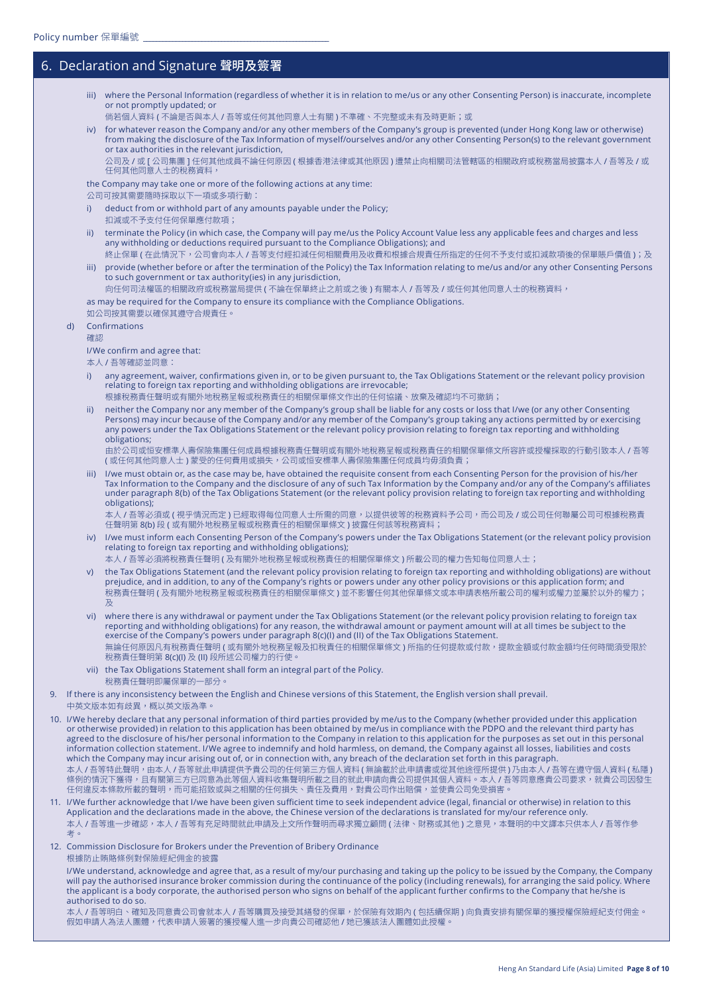#### 6. Declaration and Signature 聲明及簽署

- iii) where the Personal Information (regardless of whether it is in relation to me/us or any other Consenting Person) is inaccurate, incomplete or not promptly updated; or
- 倘若個人資料 ( 不論是否與本人 / 吾等或任何其他同意人士有關 ) 不準確、不完整或未有及時更新;或

iv) for whatever reason the Company and/or any other members of the Company's group is prevented (under Hong Kong law or otherwise) from making the disclosure of the Tax Information of myself/ourselves and/or any other Consenting Person(s) to the relevant government or tax authorities in the relevant jurisdiction,

公司及 / 或 [ 公司集團 ] 任何其他成員不論任何原因 ( 根據香港法律或其他原因 ) 遭禁止向相關司法管轄區的相關政府或稅務當局披露本人 / 吾等及 / 或 任何其他同意人士的稅務資料,

the Company may take one or more of the following actions at any time:

公司可按其需要隨時採取以下一項或多項行動:

- i) deduct from or withhold part of any amounts payable under the Policy; 扣減或不予支付任何保單應付款項;
- ii) terminate the Policy (in which case, the Company will pay me/us the Policy Account Value less any applicable fees and charges and less any withholding or deductions required pursuant to the Compliance Obligations); and
- 終止保單 ( 在此情況下,公司會向本人 / 吾等支付經扣減任何相關費用及收費和根據合規責任所指定的任何不予支付或扣減款項後的保單賬戶價值 );及 iii) provide (whether before or after the termination of the Policy) the Tax Information relating to me/us and/or any other Consenting Persons to such government or tax authority(ies) in any jurisdiction,
- 向任何司法權區的相關政府或稅務當局提供 ( 不論在保單終止之前或之後 ) 有關本人 / 吾等及 / 或任何其他同意人士的稅務資料,

as may be required for the Company to ensure its compliance with the Compliance Obligations.

如公司按其需要以確保其遵守合規責任。

d) Confirmations

#### 確認

I/We confirm and agree that:

本人 / 吾等確認並同意:

- i) any agreement, waiver, confirmations given in, or to be given pursuant to, the Tax Obligations Statement or the relevant policy provision relating to foreign tax reporting and withholding obligations are irrevocable;
	- 根據稅務責任聲明或有關外地稅務呈報或稅務責任的相關保單條文作出的任何協議、放棄及確認均不可撤銷;
- ii) neither the Company nor any member of the Company's group shall be liable for any costs or loss that I/we (or any other Consenting Persons) may incur because of the Company and/or any member of the Company's group taking any actions permitted by or exercising any powers under the Tax Obligations Statement or the relevant policy provision relating to foreign tax reporting and withholding obligations;

由於公司或恒安標準人壽保險集團任何成員根據稅務責任聲明或有關外地稅務呈報或稅務責任的相關保單條文所容許或授權採取的行動引致本人 / 吾等 ( 或任何其他同意人士 ) 蒙受的任何費用或損失,公司或恒安標準人壽保險集團任何成員均毋須負責;<br>

iii) I/we must obtain or, as the case may be, have obtained the requisite consent from each Consenting Person for the provision of his/her Tax Information to the Company and the disclosure of any of such Tax Information by the Company and/or any of the Company's affiliates under paragraph 8(b) of the Tax Obligations Statement (or the relevant policy provision relating to foreign tax reporting and withholding obligations);

本人 / 吾等必須或 ( 視乎情況而定 ) 已經取得每位同意人士所需的同意,以提供彼等的稅務資料予公司,而公司及 / 或公司任何聯屬公司可根據稅務責 任聲明第 8(b) 段 ( 或有關外地稅務呈報或稅務責任的相關保單條文 ) 披露任何該等稅務資料;

- iv) I/we must inform each Consenting Person of the Company's powers under the Tax Obligations Statement (or the relevant policy provision relating to foreign tax reporting and withholding obligations);
	- 本人 / 吾等必須將稅務責任聲明 ( 及有關外地稅務呈報或稅務責任的相關保單條文 ) 所載公司的權力告知每位同意人士;
- v) the Tax Obligations Statement (and the relevant policy provision relating to foreign tax reporting and withholding obligations) are without prejudice, and in addition, to any of the Company's rights or powers under any other policy provisions or this application form; and 稅務責任聲明 ( 及有關外地稅務呈報或稅務責任的相關保單條文 ) 並不影響任何其他保單條文或本申請表格所載公司的權利或權力並屬於以外的權力; 及
- vi) where there is any withdrawal or payment under the Tax Obligations Statement (or the relevant policy provision relating to foreign tax reporting and withholding obligations) for any reason, the withdrawal amount or payment amount will at all times be subject to the exercise of the Company's powers under paragraph 8(c)(I) and (II) of the Tax Obligations Statement. 無論任何原因凡有稅務責任聲明 ( 或有關外地稅務呈報及扣稅責任的相關保單條文 ) 所指的任何提款或付款,提款金額或付款金額均任何時間須受限於 稅務責任聲明第 8(c)(I) 及 (II) 段所述公司權力的行使。
- vii) the Tax Obligations Statement shall form an integral part of the Policy. 稅務責任聲明即屬保單的一部分。

9. If there is any inconsistency between the English and Chinese versions of this Statement, the English version shall prevail. 中英文版本如有歧異,概以英文版為準。

10. I/We hereby declare that any personal information of third parties provided by me/us to the Company (whether provided under this application or otherwise provided) in relation to this application has been obtained by me/us in compliance with the PDPO and the relevant third party has agreed to the disclosure of his/her personal information to the Company in relation to this application for the purposes as set out in this personal information collection statement. I/We agree to indemnify and hold harmless, on demand, the Company against all losses, liabilities and costs which the Company may incur arising out of, or in connection with, any breach of the declaration set forth in this paragraph. 本人 / 吾等特此聲明,由本人 / 吾等就此申請提供予貴公司的任何第三方個人資料 ( 無論載於此申請書或從其他途徑所提供 ) 乃由本人 / 吾等在遵守個人資料 ( 私隱 ) 條例的情況下獲得,且有關第三方已同意為此等個人資料收集聲明所載之目的就此申請向貴公司提供其個人資料。本人 / 吾等同意應貴公司要求,就貴公司因發生 仕何遅反本條款所載的聲明,而可能招致或與之相關的仕何預矢、責仕及費用,對責公司作出賠償,亚使責公司免受損害。<br>-

- 11. I/We further acknowledge that I/we have been given sufficient time to seek independent advice (legal, financial or otherwise) in relation to this Application and the declarations made in the above, the Chinese version of the declarations is translated for my/our reference only. 本人 / 吾等進一步確認,本人 / 吾等有充足時間就此申請及上文所作聲明而尋求獨立顧問 ( 法律、財務或其他 ) 之意見,本聲明的中文譯本只供本人 / 吾等作參 考。
- 12. Commission Disclosure for Brokers under the Prevention of Bribery Ordinance 根據防止賄賂條例對保險經紀佣金的披露

I/We understand, acknowledge and agree that, as a result of my/our purchasing and taking up the policy to be issued by the Company, the Company will pay the authorised insurance broker commission during the continuance of the policy (including renewals), for arranging the said policy. Where the applicant is a body corporate, the authorised person who signs on behalf of the applicant further confirms to the Company that he/she is authorised to do so.

本人 / 吾等明白、確知及同意貴公司會就本人 / 吾等購買及接受其繕發的保單,於保險有效期內 ( 包括續保期 ) 向負責安排有關保單的獲授權保險經紀支付佣金。 假如申請人為法人團體,代表申請人簽署的獲授權人進一步向貴公司確認他 / 她已獲該法人團體如此授權。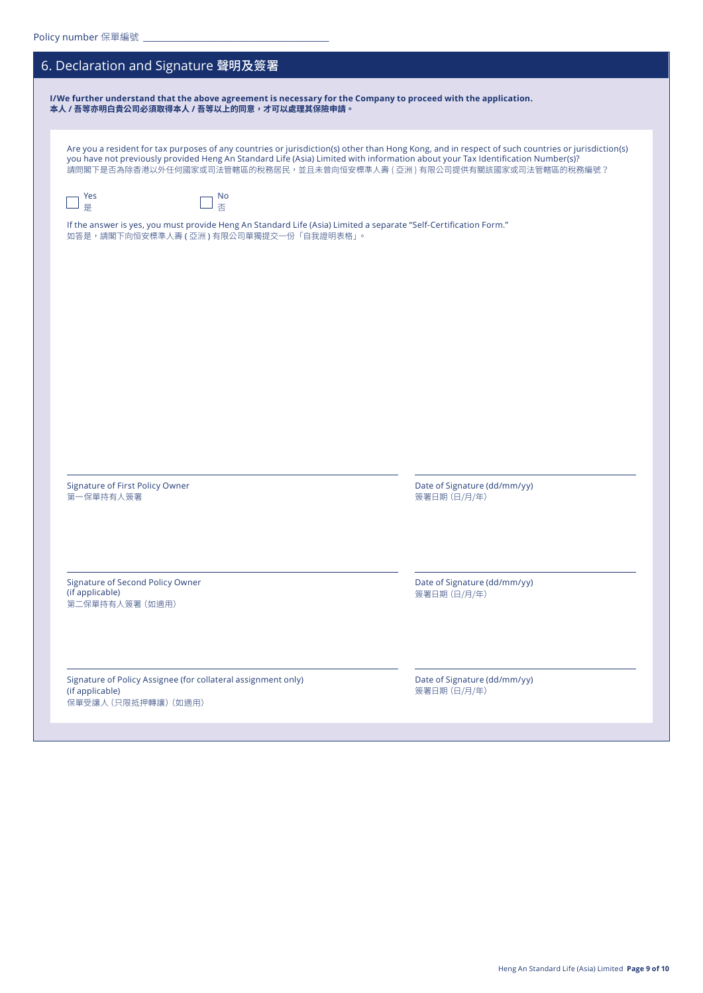| 6. Declaration and Signature 聲明及簽署                                                                                                                                                                                                                                                                                                                             |                                              |
|----------------------------------------------------------------------------------------------------------------------------------------------------------------------------------------------------------------------------------------------------------------------------------------------------------------------------------------------------------------|----------------------------------------------|
| I/We further understand that the above agreement is necessary for the Company to proceed with the application.<br>本人 / 吾等亦明白貴公司必須取得本人 / 吾等以上的同意,才可以處理其保險申請。                                                                                                                                                                                                    |                                              |
|                                                                                                                                                                                                                                                                                                                                                                |                                              |
| Are you a resident for tax purposes of any countries or jurisdiction(s) other than Hong Kong, and in respect of such countries or jurisdiction(s)<br>you have not previously provided Heng An Standard Life (Asia) Limited with information about your Tax Identification Number(s)?<br>請問閣下是否為除香港以外任何國家或司法管轄區的稅務居民,並且未曾向恒安標準人壽 ( 亞洲 ) 有限公司提供有關該國家或司法管轄區的稅務編號? |                                              |
| Yes<br>No<br>否<br>是                                                                                                                                                                                                                                                                                                                                            |                                              |
| If the answer is yes, you must provide Heng An Standard Life (Asia) Limited a separate "Self-Certification Form."<br>如答是,請閣下向恒安標準人壽 (亞洲) 有限公司單獨提交一份「自我證明表格」。                                                                                                                                                                                                   |                                              |
|                                                                                                                                                                                                                                                                                                                                                                |                                              |
|                                                                                                                                                                                                                                                                                                                                                                |                                              |
|                                                                                                                                                                                                                                                                                                                                                                |                                              |
|                                                                                                                                                                                                                                                                                                                                                                |                                              |
|                                                                                                                                                                                                                                                                                                                                                                |                                              |
|                                                                                                                                                                                                                                                                                                                                                                |                                              |
|                                                                                                                                                                                                                                                                                                                                                                |                                              |
| <b>Signature of First Policy Owner</b><br>第一保單持有人簽署                                                                                                                                                                                                                                                                                                            | Date of Signature (dd/mm/yy)<br>簽署日期 (日/月/年) |
|                                                                                                                                                                                                                                                                                                                                                                |                                              |
| Signature of Second Policy Owner<br>(if applicable)                                                                                                                                                                                                                                                                                                            | Date of Signature (dd/mm/yy)<br>簽署日期 (日/月/年) |
| 第二保單持有人簽署 (如適用)                                                                                                                                                                                                                                                                                                                                                |                                              |
|                                                                                                                                                                                                                                                                                                                                                                |                                              |
| Signature of Policy Assignee (for collateral assignment only)<br>(if applicable)<br>保單受讓人 (只限抵押轉讓) (如適用)                                                                                                                                                                                                                                                       | Date of Signature (dd/mm/yy)<br>簽署日期 (日/月/年) |
|                                                                                                                                                                                                                                                                                                                                                                |                                              |